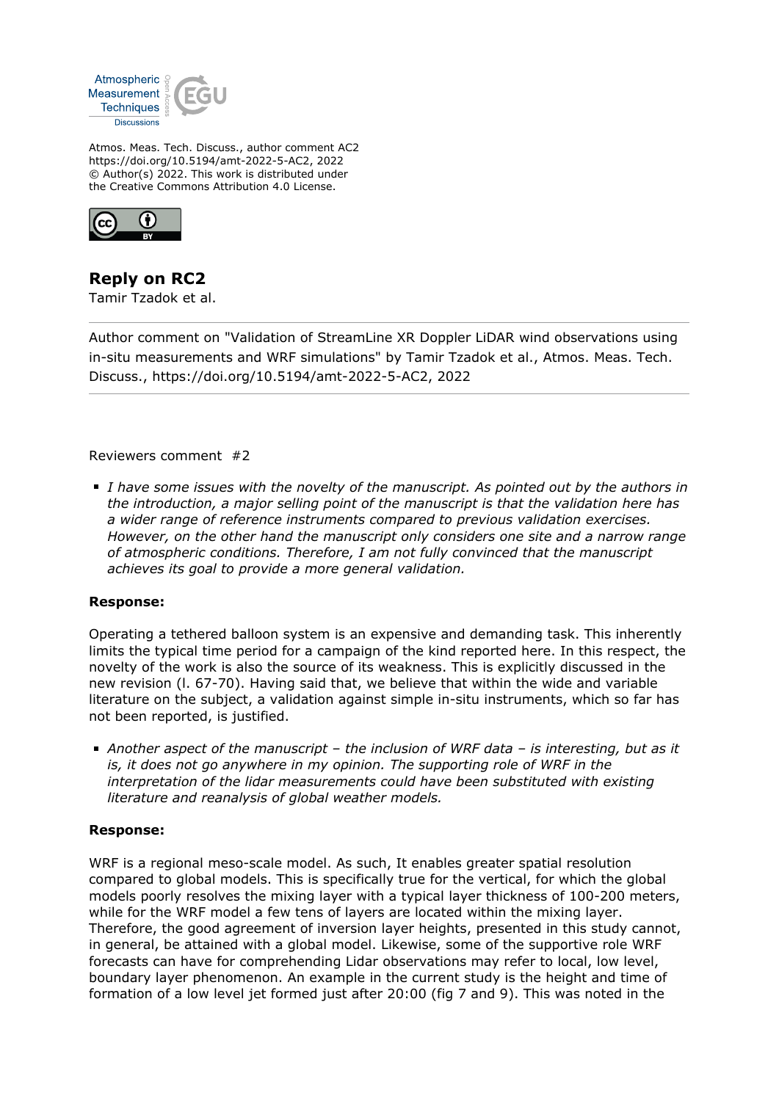

Atmos. Meas. Tech. Discuss., author comment AC2 https://doi.org/10.5194/amt-2022-5-AC2, 2022 © Author(s) 2022. This work is distributed under the Creative Commons Attribution 4.0 License.



# **Reply on RC2**

Tamir Tzadok et al.

Author comment on "Validation of StreamLine XR Doppler LiDAR wind observations using in-situ measurements and WRF simulations" by Tamir Tzadok et al., Atmos. Meas. Tech. Discuss., https://doi.org/10.5194/amt-2022-5-AC2, 2022

Reviewers comment #2

*I have some issues with the novelty of the manuscript. As pointed out by the authors in the introduction, a major selling point of the manuscript is that the validation here has a wider range of reference instruments compared to previous validation exercises. However, on the other hand the manuscript only considers one site and a narrow range of atmospheric conditions. Therefore, I am not fully convinced that the manuscript achieves its goal to provide a more general validation.*

### **Response:**

Operating a tethered balloon system is an expensive and demanding task. This inherently limits the typical time period for a campaign of the kind reported here. In this respect, the novelty of the work is also the source of its weakness. This is explicitly discussed in the new revision (l. 67-70). Having said that, we believe that within the wide and variable literature on the subject, a validation against simple in-situ instruments, which so far has not been reported, is justified.

*Another aspect of the manuscript – the inclusion of WRF data – is interesting, but as it is, it does not go anywhere in my opinion. The supporting role of WRF in the interpretation of the lidar measurements could have been substituted with existing literature and reanalysis of global weather models.*

### **Response:**

WRF is a regional meso-scale model. As such, It enables greater spatial resolution compared to global models. This is specifically true for the vertical, for which the global models poorly resolves the mixing layer with a typical layer thickness of 100-200 meters, while for the WRF model a few tens of layers are located within the mixing layer. Therefore, the good agreement of inversion layer heights, presented in this study cannot, in general, be attained with a global model. Likewise, some of the supportive role WRF forecasts can have for comprehending Lidar observations may refer to local, low level, boundary layer phenomenon. An example in the current study is the height and time of formation of a low level jet formed just after 20:00 (fig 7 and 9). This was noted in the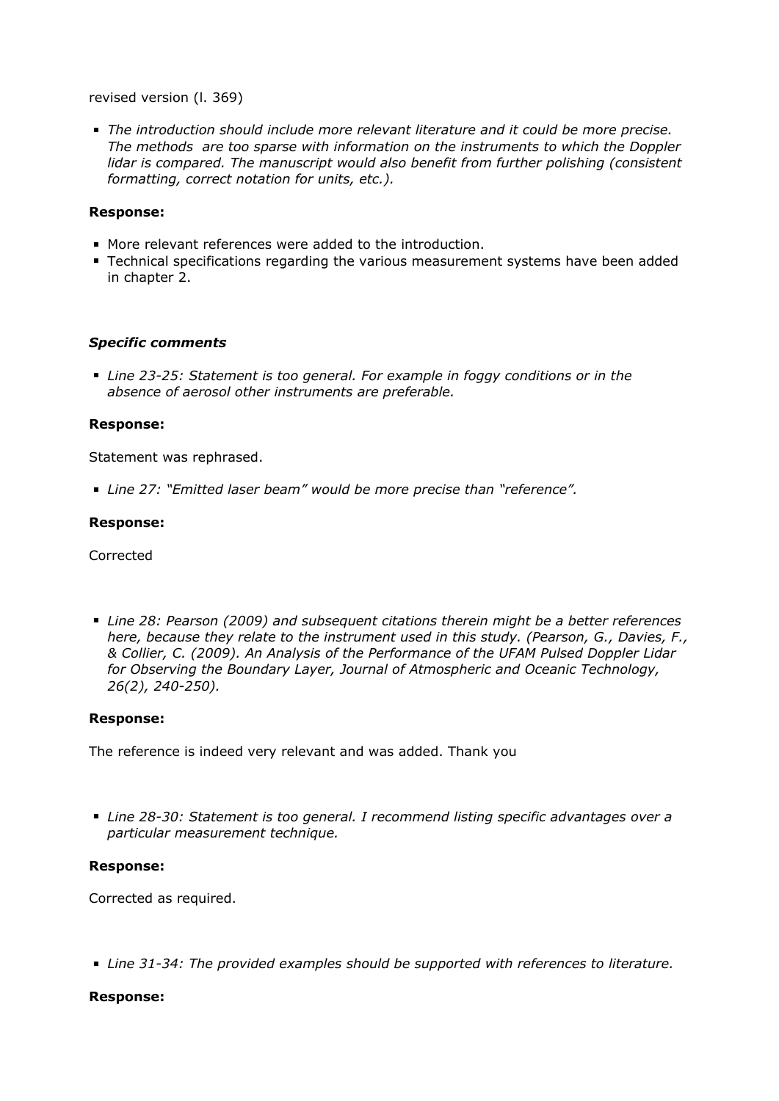revised version (l. 369)

*The introduction should include more relevant literature and it could be more precise. The methods are too sparse with information on the instruments to which the Doppler lidar is compared. The manuscript would also benefit from further polishing (consistent formatting, correct notation for units, etc.).*

#### **Response:**

- More relevant references were added to the introduction.
- Technical specifications regarding the various measurement systems have been added in chapter 2.

#### *Specific comments*

*Line 23-25: Statement is too general. For example in foggy conditions or in the absence of aerosol other instruments are preferable.*

#### **Response:**

Statement was rephrased.

*Line 27: "Emitted laser beam" would be more precise than "reference".*

#### **Response:**

Corrected

*Line 28: Pearson (2009) and subsequent citations therein might be a better references here, because they relate to the instrument used in this study. (Pearson, G., Davies, F., & Collier, C. (2009). An Analysis of the Performance of the UFAM Pulsed Doppler Lidar for Observing the Boundary Layer, Journal of Atmospheric and Oceanic Technology, 26(2), 240-250).*

#### **Response:**

The reference is indeed very relevant and was added. Thank you

*Line 28-30: Statement is too general. I recommend listing specific advantages over a particular measurement technique.*

#### **Response:**

Corrected as required.

*Line 31-34: The provided examples should be supported with references to literature.*

#### **Response:**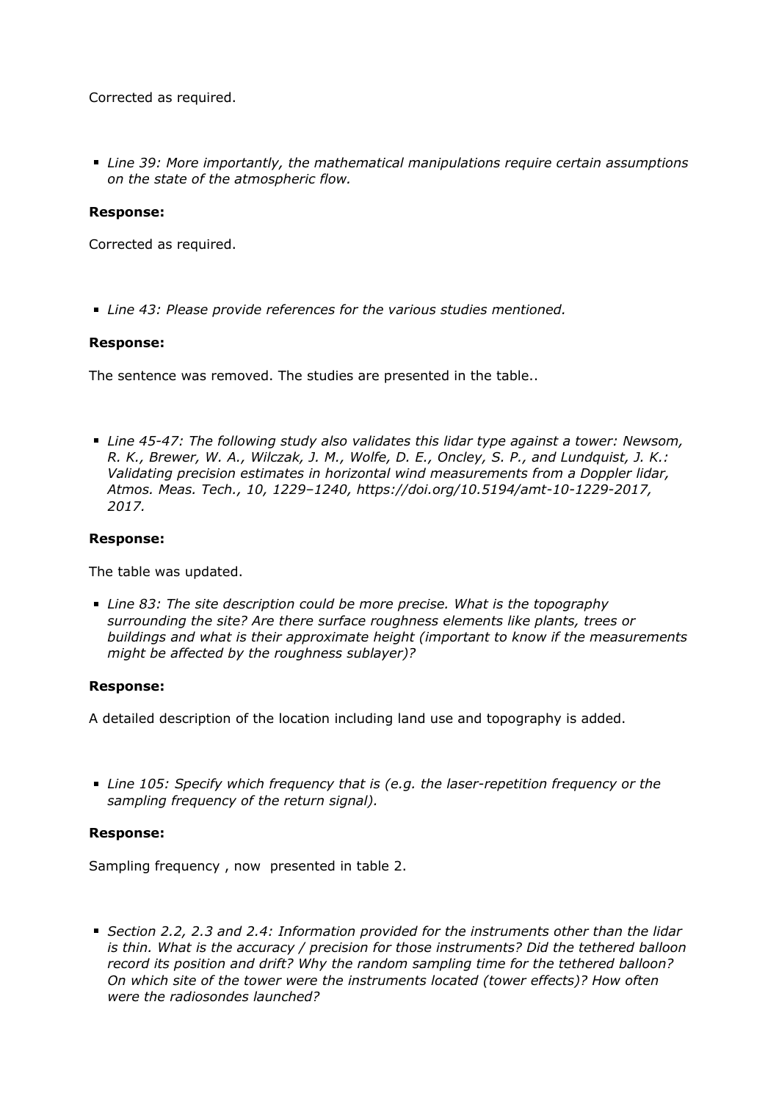Corrected as required.

*Line 39: More importantly, the mathematical manipulations require certain assumptions on the state of the atmospheric flow.*

# **Response:**

Corrected as required.

*Line 43: Please provide references for the various studies mentioned.*

### **Response:**

The sentence was removed. The studies are presented in the table..

*Line 45-47: The following study also validates this lidar type against a tower: Newsom, R. K., Brewer, W. A., Wilczak, J. M., Wolfe, D. E., Oncley, S. P., and Lundquist, J. K.: Validating precision estimates in horizontal wind measurements from a Doppler lidar, Atmos. Meas. Tech., 10, 1229–1240, https://doi.org/10.5194/amt-10-1229-2017, 2017.*

# **Response:**

The table was updated.

*Line 83: The site description could be more precise. What is the topography surrounding the site? Are there surface roughness elements like plants, trees or buildings and what is their approximate height (important to know if the measurements might be affected by the roughness sublayer)?*

### **Response:**

A detailed description of the location including land use and topography is added.

*Line 105: Specify which frequency that is (e.g. the laser-repetition frequency or the sampling frequency of the return signal).*

### **Response:**

Sampling frequency , now presented in table 2.

*Section 2.2, 2.3 and 2.4: Information provided for the instruments other than the lidar is thin. What is the accuracy / precision for those instruments? Did the tethered balloon record its position and drift? Why the random sampling time for the tethered balloon? On which site of the tower were the instruments located (tower effects)? How often were the radiosondes launched?*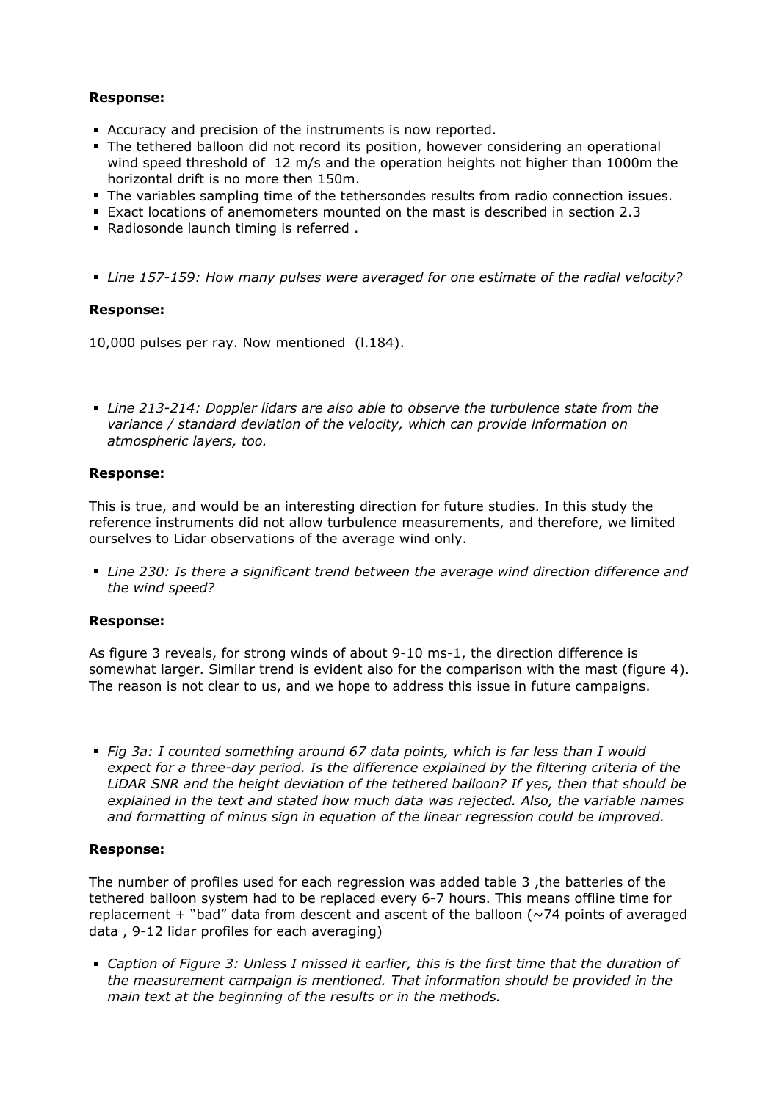# **Response:**

- Accuracy and precision of the instruments is now reported.
- The tethered balloon did not record its position, however considering an operational wind speed threshold of 12 m/s and the operation heights not higher than 1000m the horizontal drift is no more then 150m.
- The variables sampling time of the tethersondes results from radio connection issues.
- Exact locations of anemometers mounted on the mast is described in section 2.3
- Radiosonde launch timing is referred .
- *Line 157-159: How many pulses were averaged for one estimate of the radial velocity?*

### **Response:**

10,000 pulses per ray. Now mentioned (l.184).

*Line 213-214: Doppler lidars are also able to observe the turbulence state from the variance / standard deviation of the velocity, which can provide information on atmospheric layers, too.*

### **Response:**

This is true, and would be an interesting direction for future studies. In this study the reference instruments did not allow turbulence measurements, and therefore, we limited ourselves to Lidar observations of the average wind only.

*Line 230: Is there a significant trend between the average wind direction difference and the wind speed?*

### **Response:**

As figure 3 reveals, for strong winds of about 9-10 ms-1, the direction difference is somewhat larger. Similar trend is evident also for the comparison with the mast (figure 4). The reason is not clear to us, and we hope to address this issue in future campaigns.

*Fig 3a: I counted something around 67 data points, which is far less than I would expect for a three-day period. Is the difference explained by the filtering criteria of the LiDAR SNR and the height deviation of the tethered balloon? If yes, then that should be explained in the text and stated how much data was rejected. Also, the variable names and formatting of minus sign in equation of the linear regression could be improved.*

### **Response:**

The number of profiles used for each regression was added table 3 ,the batteries of the tethered balloon system had to be replaced every 6-7 hours. This means offline time for replacement  $+$  "bad" data from descent and ascent of the balloon ( $\sim$ 74 points of averaged data , 9-12 lidar profiles for each averaging)

*Caption of Figure 3: Unless I missed it earlier, this is the first time that the duration of the measurement campaign is mentioned. That information should be provided in the main text at the beginning of the results or in the methods.*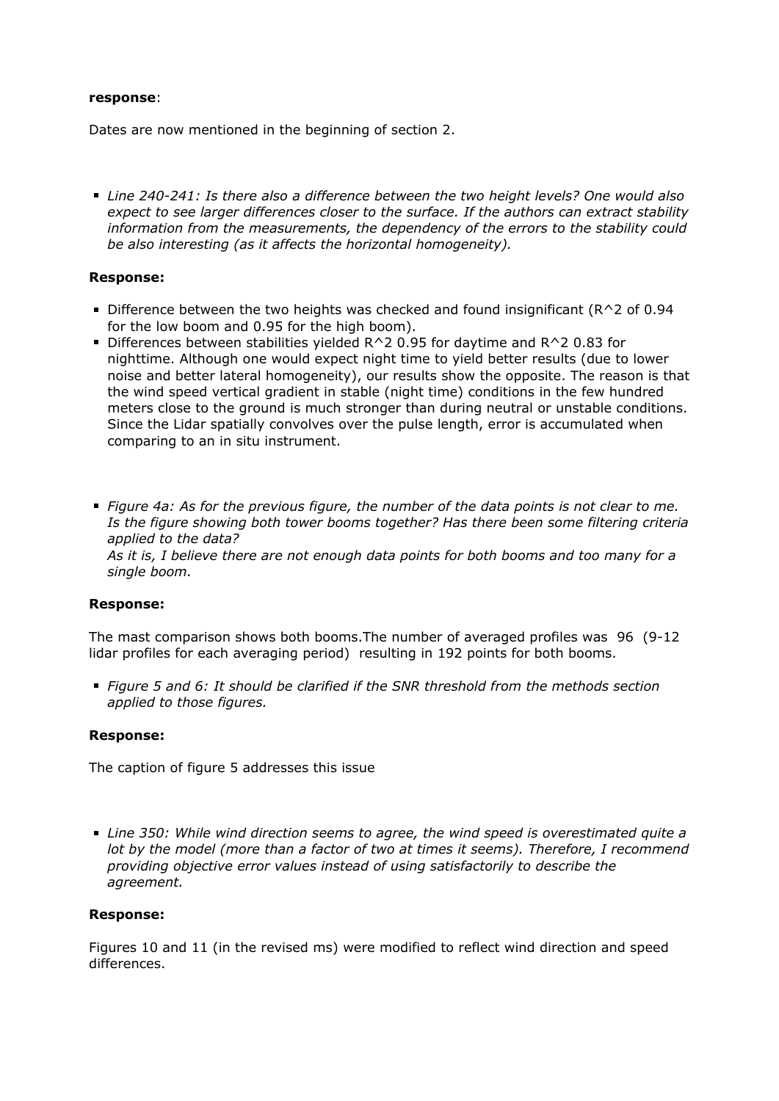#### **response**:

Dates are now mentioned in the beginning of section 2.

*Line 240-241: Is there also a difference between the two height levels? One would also expect to see larger differences closer to the surface. If the authors can extract stability information from the measurements, the dependency of the errors to the stability could be also interesting (as it affects the horizontal homogeneity).*

### **Response:**

- Difference between the two heights was checked and found insignificant ( $R^2$  of 0.94 for the low boom and 0.95 for the high boom).
- Differences between stabilities yielded  $R^2$  0.95 for daytime and  $R^2$  0.83 for nighttime. Although one would expect night time to yield better results (due to lower noise and better lateral homogeneity), our results show the opposite. The reason is that the wind speed vertical gradient in stable (night time) conditions in the few hundred meters close to the ground is much stronger than during neutral or unstable conditions. Since the Lidar spatially convolves over the pulse length, error is accumulated when comparing to an in situ instrument.
- *Figure 4a: As for the previous figure, the number of the data points is not clear to me. Is the figure showing both tower booms together? Has there been some filtering criteria applied to the data? As it is, I believe there are not enough data points for both booms and too many for a single boom.*

### **Response:**

The mast comparison shows both booms.The number of averaged profiles was 96 (9-12 lidar profiles for each averaging period) resulting in 192 points for both booms.

*Figure 5 and 6: It should be clarified if the SNR threshold from the methods section applied to those figures.*

# **Response:**

The caption of figure 5 addresses this issue

*Line 350: While wind direction seems to agree, the wind speed is overestimated quite a lot by the model (more than a factor of two at times it seems). Therefore, I recommend providing objective error values instead of using satisfactorily to describe the agreement.*

### **Response:**

Figures 10 and 11 (in the revised ms) were modified to reflect wind direction and speed differences.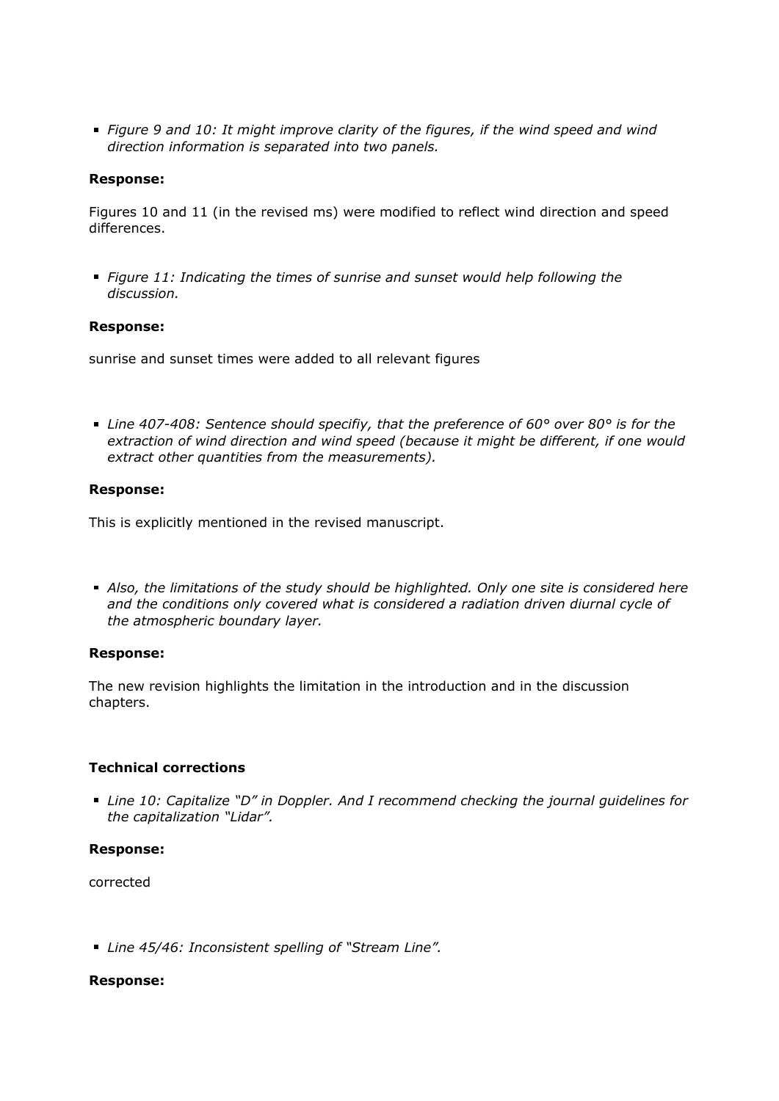*Figure 9 and 10: It might improve clarity of the figures, if the wind speed and wind direction information is separated into two panels.*

#### **Response:**

Figures 10 and 11 (in the revised ms) were modified to reflect wind direction and speed differences.

*Figure 11: Indicating the times of sunrise and sunset would help following the discussion.*

#### **Response:**

sunrise and sunset times were added to all relevant figures

*Line 407-408: Sentence should specifiy, that the preference of 60° over 80° is for the extraction of wind direction and wind speed (because it might be different, if one would extract other quantities from the measurements).*

### **Response:**

This is explicitly mentioned in the revised manuscript.

*Also, the limitations of the study should be highlighted. Only one site is considered here and the conditions only covered what is considered a radiation driven diurnal cycle of the atmospheric boundary layer.*

#### **Response:**

The new revision highlights the limitation in the introduction and in the discussion chapters.

### **Technical corrections**

*Line 10: Capitalize "D" in Doppler. And I recommend checking the journal guidelines for the capitalization "Lidar".*

### **Response:**

corrected

*Line 45/46: Inconsistent spelling of "Stream Line".*

#### **Response:**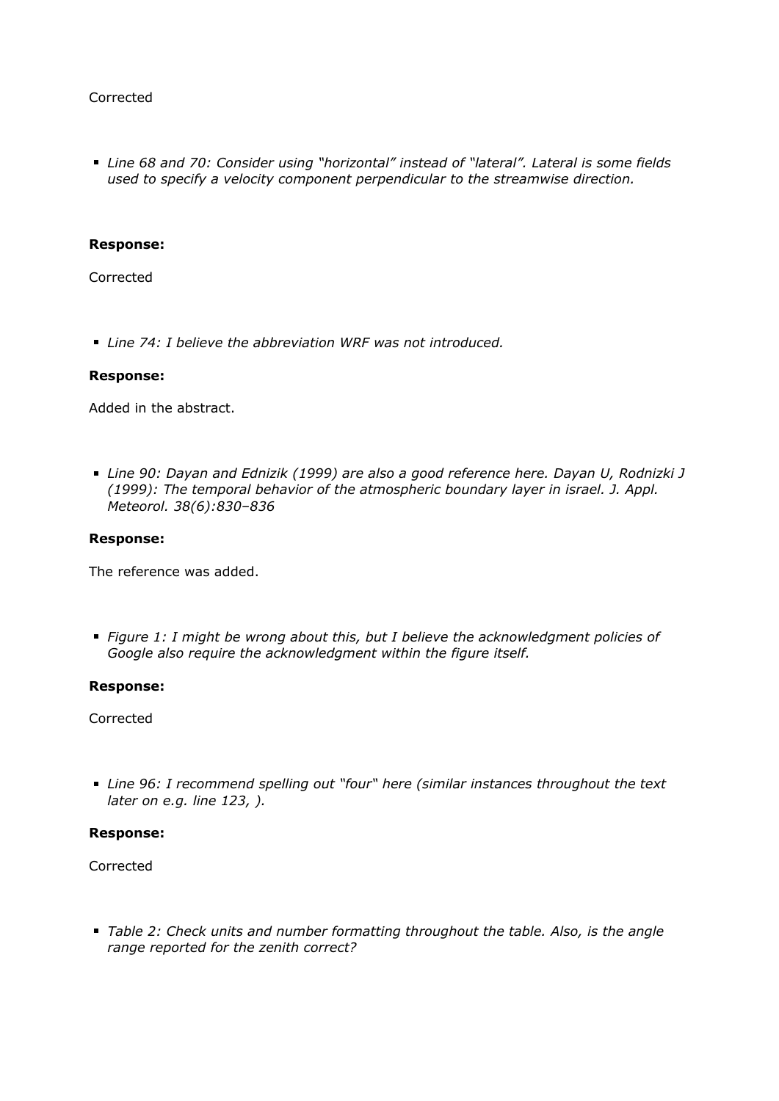# Corrected

*Line 68 and 70: Consider using "horizontal" instead of "lateral". Lateral is some fields used to specify a velocity component perpendicular to the streamwise direction.*

#### **Response:**

Corrected

*Line 74: I believe the abbreviation WRF was not introduced.*

#### **Response:**

Added in the abstract.

*Line 90: Dayan and Ednizik (1999) are also a good reference here. Dayan U, Rodnizki J (1999): The temporal behavior of the atmospheric boundary layer in israel. J. Appl. Meteorol. 38(6):830–836*

#### **Response:**

The reference was added.

*Figure 1: I might be wrong about this, but I believe the acknowledgment policies of Google also require the acknowledgment within the figure itself.*

#### **Response:**

Corrected

*Line 96: I recommend spelling out "four" here (similar instances throughout the text later on e.g. line 123, ).*

#### **Response:**

Corrected

*Table 2: Check units and number formatting throughout the table. Also, is the angle range reported for the zenith correct?*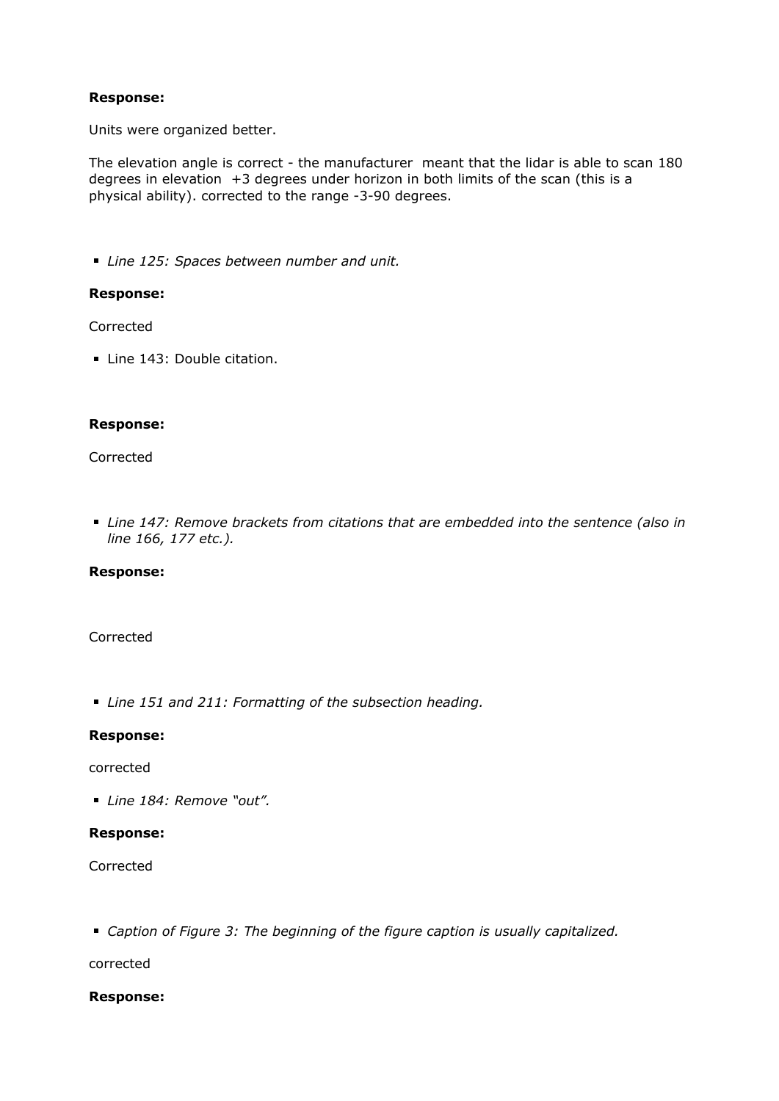# **Response:**

Units were organized better.

The elevation angle is correct - the manufacturer meant that the lidar is able to scan 180 degrees in elevation  $+3$  degrees under horizon in both limits of the scan (this is a physical ability). corrected to the range -3-90 degrees.

*Line 125: Spaces between number and unit.*

#### **Response:**

Corrected

Line 143: Double citation.

#### **Response:**

#### Corrected

*Line 147: Remove brackets from citations that are embedded into the sentence (also in line 166, 177 etc.).*

# **Response:**

### Corrected

*Line 151 and 211: Formatting of the subsection heading.*

### **Response:**

#### corrected

*Line 184: Remove "out".*

#### **Response:**

Corrected

*Caption of Figure 3: The beginning of the figure caption is usually capitalized.*

corrected

# **Response:**